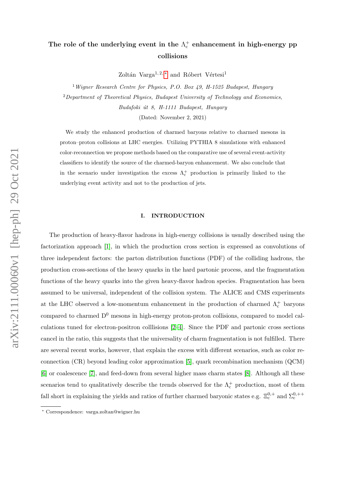# The role of the underlying event in the  $\Lambda_c^+$  enhancement in high-energy pp collisions

Zoltán Varga<sup>1, 2, [∗](#page-0-0)</sup> and Róbert Vértesi<sup>1</sup>

<sup>1</sup> Wigner Research Centre for Physics, P.O. Box 49, H-1525 Budapest, Hungary <sup>2</sup>Department of Theoretical Physics, Budapest University of Technology and Economics, Budafoki út 8, H-1111 Budapest, Hungary

(Dated: November 2, 2021)

We study the enhanced production of charmed baryons relative to charmed mesons in proton–proton collisions at LHC energies. Utilizing PYTHIA 8 simulations with enhanced color-reconnection we propose methods based on the comparative use of several event-activity classifiers to identify the source of the charmed-baryon enhancement. We also conclude that in the scenario under investigation the excess  $\Lambda_c^+$  production is primarily linked to the underlying event activity and not to the production of jets.

## I. INTRODUCTION

The production of heavy-flavor hadrons in high-energy collisions is usually described using the factorization approach [\[1\]](#page-6-0), in which the production cross section is expressed as convolutions of three independent factors: the parton distribution functions (PDF) of the colliding hadrons, the production cross-sections of the heavy quarks in the hard partonic process, and the fragmentation functions of the heavy quarks into the given heavy-flavor hadron species. Fragmentation has been assumed to be universal, independent of the collision system. The ALICE and CMS experiments at the LHC observed a low-momentum enhancement in the production of charmed  $\Lambda_c^+$  baryons compared to charmed  $D^0$  mesons in high-energy proton-proton collisions, compared to model calculations tuned for electron-positron colllisions [\[2–](#page-6-1)[4\]](#page-6-2). Since the PDF and partonic cross sections cancel in the ratio, this suggests that the universality of charm fragmentation is not fulfilled. There are several recent works, however, that explain the excess with different scenarios, such as color reconnection (CR) beyond leading color approximation [\[5\]](#page-6-3), quark recombination mechanism (QCM) [\[6\]](#page-6-4) or coalescence [\[7\]](#page-6-5), and feed-down from several higher mass charm states [\[8\]](#page-6-6). Although all these scenarios tend to qualitatively describe the trends observed for the  $\Lambda_c^+$  production, most of them fall short in explaining the yields and ratios of further charmed baryonic states e.g.  $\Xi_c^{0,+}$  and  $\Sigma_c^{0,++}$ 

<span id="page-0-0"></span><sup>∗</sup> Correspondence: varga.zoltan@wigner.hu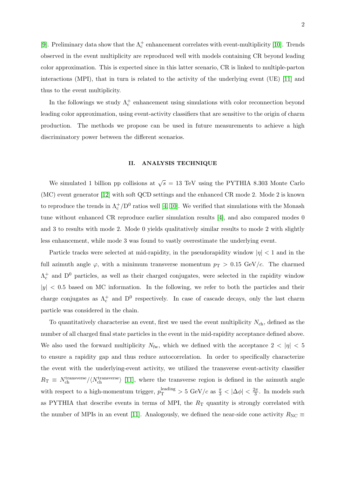[\[9\]](#page-6-7). Preliminary data show that the  $\Lambda_c^+$  enhancement correlates with event-multiplicity [\[10\]](#page-7-0). Trends observed in the event multiplicity are reproduced well with models containing CR beyond leading color approximation. This is expected since in this latter scenario, CR is linked to multiple-parton interactions (MPI), that in turn is related to the activity of the underlying event (UE) [\[11\]](#page-7-1) and thus to the event multiplicity.

In the followings we study  $\Lambda_c^+$  enhancement using simulations with color reconnection beyond leading color approximation, using event-activity classifiers that are sensitive to the origin of charm production. The methods we propose can be used in future measurements to achieve a high discriminatory power between the different scenarios.

#### II. ANALYSIS TECHNIQUE

We simulated 1 billion pp collisions at  $\sqrt{s} = 13$  TeV using the PYTHIA 8.303 Monte Carlo (MC) event generator [\[12\]](#page-7-2) with soft QCD settings and the enhanced CR mode 2. Mode 2 is known to reproduce the trends in  $\Lambda_c^+/D^0$  ratios well [\[4,](#page-6-2) [10\]](#page-7-0). We verified that simulations with the Monash tune without enhanced CR reproduce earlier simulation results [\[4\]](#page-6-2), and also compared modes 0 and 3 to results with mode 2. Mode 0 yields qualitatively similar results to mode 2 with slightly less enhancement, while mode 3 was found to vastly overestimate the underlying event.

Particle tracks were selected at mid-rapidity, in the pseudorapidity window  $|\eta| < 1$  and in the full azimuth angle  $\varphi$ , with a minimum transverse momentum  $p_T > 0.15 \text{ GeV}/c$ . The charmed  $\Lambda_c^+$  and  $D^0$  particles, as well as their charged conjugates, were selected in the rapidity window  $|y|$  < 0.5 based on MC information. In the following, we refer to both the particles and their charge conjugates as  $\Lambda_c^+$  and  $D^0$  respectively. In case of cascade decays, only the last charm particle was considered in the chain.

To quantitatively characterise an event, first we used the event multiplicity  $N_{ch}$ , defined as the number of all charged final state particles in the event in the mid-rapidity acceptance defined above. We also used the forward multiplicity  $N_{\text{fw}}$ , which we defined with the acceptance  $2 < |\eta| < 5$ to ensure a rapidity gap and thus reduce autocorrelation. In order to specifically characterize the event with the underlying-event activity, we utilized the transverse event-activity classifier  $R_{\rm T} \equiv N_{\rm ch}^{\rm transverse} / \langle N_{\rm ch}^{\rm transverse} \rangle$  [\[11\]](#page-7-1), where the transverse region is defined in the azimuth angle with respect to a high-momentum trigger,  $p_T^{\text{leading}} > 5 \text{ GeV}/c$  as  $\frac{\pi}{3} < |\Delta \phi| < \frac{2\pi}{3}$  $\frac{2\pi}{3}$ . In models such as PYTHIA that describe events in terms of MPI, the  $R_T$  quantity is strongly correlated with the number of MPIs in an event [\[11\]](#page-7-1). Analogously, we defined the near-side cone activity  $R_{\text{NC}} \equiv$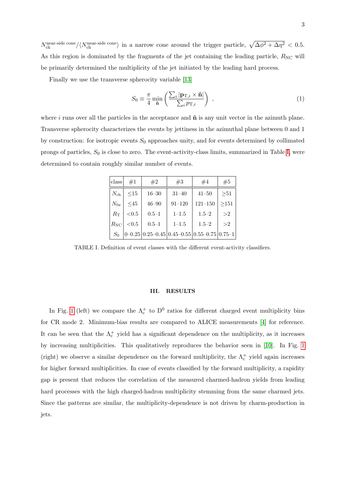$N_{\text{ch}}^{\text{near-side cone}} / \langle N_{\text{ch}}^{\text{near-side cone}} \rangle$  in a narrow cone around the trigger particle,  $\sqrt{\Delta \phi^2 + \Delta \eta^2} < 0.5$ . As this region is dominated by the fragments of the jet containing the leading particle,  $R_{\text{NC}}$  will be primarily determined the multiplicity of the jet initiated by the leading hard process.

Finally we use the transverse spherocity variable [\[13\]](#page-7-3)

$$
S_0 \equiv \frac{\pi}{4} \min_{\hat{\mathbf{n}}} \left( \frac{\sum_i |\mathbf{p}_{\mathrm{T},i} \times \hat{\mathbf{n}}|}{\sum_i p_{\mathrm{T},i}} \right) , \qquad (1)
$$

where  $i$  runs over all the particles in the acceptance and  $\hat{\bf{n}}$  is any unit vector in the azimuth plane. Transverse spherocity characterizes the events by jettiness in the azimuthal plane between 0 and 1 by construction: for isotropic events  $S_0$  approaches unity, and for events determined by collimated prongs of particles,  $S_0$  is close to zero. The event-activity-class limits, summarized in Table [I,](#page-2-0) were determined to contain roughly similar number of events.

| class        | #1        | #2                                                                          | #3         | #4          | #5        |
|--------------|-----------|-----------------------------------------------------------------------------|------------|-------------|-----------|
| $N_{\rm ch}$ | <15       | $16 - 30$                                                                   | $31 - 40$  | $41 - 50$   | $\geq 51$ |
| $N_{\rm fw}$ | $\leq 45$ | $46 - 90$                                                                   | $91 - 120$ | $121 - 150$ | >151      |
| $R_{\rm T}$  | < 0.5     | $0.5 - 1$                                                                   | $1 - 1.5$  | $1.5 - 2$   | >2        |
| $R_{\rm NC}$ | ${<}0.5$  | $0.5 - 1$                                                                   | $1 - 1.5$  | $1.5 - 2$   | >2        |
| $S_0$        |           | $0 - 0.25 \mid 0.25 - 0.45 \mid 0.45 - 0.55 \mid 0.55 - 0.75 \mid 0.75 - 1$ |            |             |           |

<span id="page-2-0"></span>TABLE I. Definition of event classes with the different event-activity classifiers.

## III. RESULTS

In Fig. [1](#page-3-0) (left) we compare the  $\Lambda_c^+$  to  $D^0$  ratios for different charged event multiplicity bins for CR mode 2. Minimum-bias results are compared to ALICE measurements [\[4\]](#page-6-2) for reference. It can be seen that the  $\Lambda_c^+$  yield has a significant dependence on the multiplicity, as it increases by increasing multiplicities. This qualitatively reproduces the behavior seen in [\[10\]](#page-7-0). In Fig. [1](#page-3-0) (right) we observe a similar dependence on the forward multiplicity, the  $\Lambda_c^+$  yield again increases for higher forward multiplicities. In case of events classified by the forward multiplicity, a rapidity gap is present that reduces the correlation of the measured charmed-hadron yields from leading hard processes with the high charged-hadron multiplicity stemming from the same charmed jets. Since the patterns are similar, the multiplicity-dependence is not driven by charm-production in jets.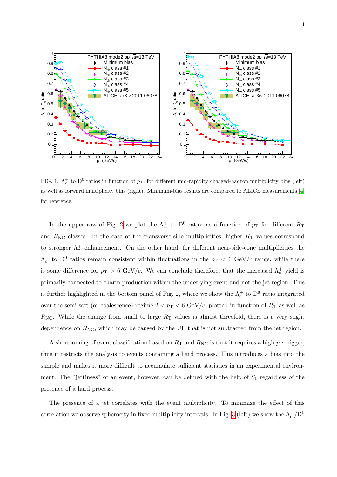

<span id="page-3-0"></span>FIG. 1.  $\Lambda_c^+$  to  $D^0$  ratios in function of  $p_T$ , for different mid-rapidity charged-hadron multiplicity bins (left) as well as forward multiplicity bins (right). Minimum-bias results are compared to ALICE measurements [\[4\]](#page-6-2) for reference.

In the upper row of Fig. [2](#page-4-0) we plot the  $\Lambda_c^+$  to  $D^0$  ratios as a function of  $p_T$  for different  $R_T$ and  $R_{\text{NC}}$  classes. In the case of the transverse-side multiplicities, higher  $R_{\text{T}}$  values correspond to stronger  $\Lambda_c^+$  enhancement. On the other hand, for different near-side-cone multiplicities the  $\Lambda_c^+$  to D<sup>0</sup> ratios remain consistent within fluctuations in the  $p_T < 6$  GeV/c range, while there is some difference for  $p_T > 6$  GeV/c. We can conclude therefore, that the increased  $\Lambda_c^+$  yield is primarily connected to charm production within the underlying event and not the jet region. This is further highlighted in the bottom panel of Fig. [2,](#page-4-0) where we show the  $\Lambda_c^+$  to  $D^0$  ratio integrated over the semi-soft (or coalescence) regime  $2 < p_T < 6$  GeV/c, plotted in function of  $R_T$  as well as  $R_{\text{NC}}$ . While the change from small to large  $R_{\text{T}}$  values is almost threefold, there is a very slight dependence on  $R_{\text{NC}}$ , which may be caused by the UE that is not subtracted from the jet region.

A shortcoming of event classification based on  $R_T$  and  $R_{NC}$  is that it requires a high- $p_T$  trigger, thus it restricts the analysis to events containing a hard process. This introduces a bias into the sample and makes it more difficult to accumulate sufficient statistics in an experimental environment. The "jettiness" of an event, however, can be defined with the help of  $S_0$  regardless of the presence of a hard process.

The presence of a jet correlates with the event multiplicity. To minimize the effect of this correlation we observe spherocity in fixed multiplicity intervals. In Fig. [3](#page-5-0) (left) we show the  $\Lambda_c^+/D^0$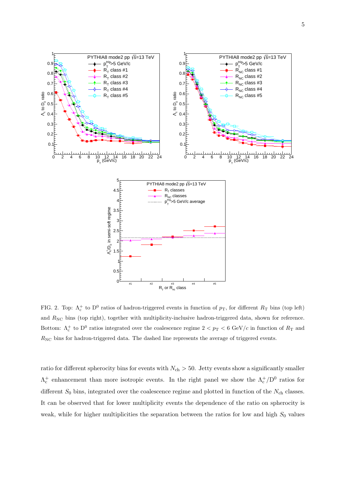

<span id="page-4-0"></span>FIG. 2. Top:  $\Lambda_c^+$  to D<sup>0</sup> ratios of hadron-triggered events in function of  $p_T$ , for different  $R_T$  bins (top left) and  $R_{\text{NC}}$  bins (top right), together with multiplicity-inclusive hadron-triggered data, shown for reference. Bottom:  $\Lambda_c^+$  to  $D^0$  ratios integrated over the coalescence regime  $2 < p_T < 6$  GeV/c in function of  $R_T$  and  $R_{\rm NC}$  bins for hadron-triggered data. The dashed line represents the average of triggered events.

ratio for different spherocity bins for events with  $N_{ch} > 50$ . Jetty events show a significantly smaller  $\Lambda_c^+$  enhancement than more isotropic events. In the right panel we show the  $\Lambda_c^+/D^0$  ratios for different  $S_0$  bins, integrated over the coalescence regime and plotted in function of the  $N_{ch}$  classes. It can be observed that for lower multiplicity events the dependence of the ratio on spherocity is weak, while for higher multiplicities the separation between the ratios for low and high  $S_0$  values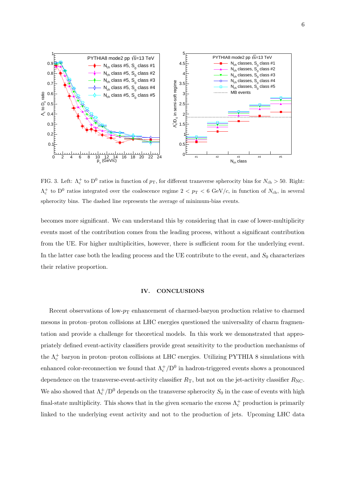

<span id="page-5-0"></span>FIG. 3. Left:  $\Lambda_c^+$  to  $D^0$  ratios in function of  $p_T$ , for different transverse spherocity bins for  $N_{ch} > 50$ . Right:  $\Lambda_c^+$  to  $D^0$  ratios integrated over the coalescence regime  $2 < p_T < 6$  GeV/c, in function of  $N_{ch}$ , in several spherocity bins. The dashed line represents the average of minimum-bias events.

becomes more significant. We can understand this by considering that in case of lower-multiplicity events most of the contribution comes from the leading process, without a significant contribution from the UE. For higher multiplicities, however, there is sufficient room for the underlying event. In the latter case both the leading process and the UE contribute to the event, and  $S_0$  characterizes their relative proportion.

### IV. CONCLUSIONS

Recent observations of low- $p_T$  enhancement of charmed-baryon production relative to charmed mesons in proton–proton collisions at LHC energies questioned the universality of charm fragmentation and provide a challenge for theoretical models. In this work we demonstrated that appropriately defined event-activity classifiers provide great sensitivity to the production mechanisms of the  $\Lambda_c^+$  baryon in proton–proton collisions at LHC energies. Utilizing PYTHIA 8 simulations with enhanced color-reconnection we found that  $\Lambda_c^+/D^0$  in hadron-triggered events shows a pronounced dependence on the transverse-event-activity classifier  $R_T$ , but not on the jet-activity classifier  $R_{\text{NC}}$ . We also showed that  $\Lambda_c^+/D^0$  depends on the transverse spherocity  $S_0$  in the case of events with high final-state multiplicity. This shows that in the given scenario the excess  $\Lambda_c^+$  production is primarily linked to the underlying event activity and not to the production of jets. Upcoming LHC data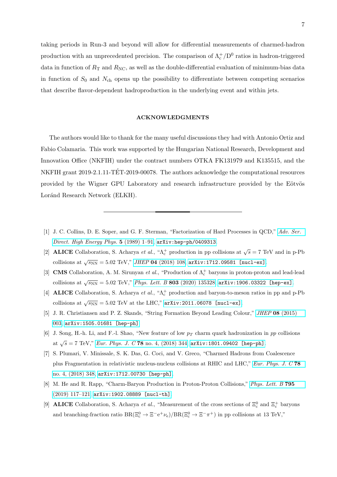taking periods in Run-3 and beyond will allow for differential measurements of charmed-hadron production with an unprecedented precision. The comparison of  $\Lambda_c^+/D^0$  ratios in hadron-triggered data in function of  $R_T$  and  $R_{\text{NC}}$ , as well as the double-differential evaluation of minimum-bias data in function of  $S_0$  and  $N_{ch}$  opens up the possibility to differentiate between competing scenarios that describe flavor-dependent hadroproduction in the underlying event and within jets.

#### ACKNOWLEDGMENTS

The authors would like to thank for the many useful discussions they had with Antonio Ortiz and Fabio Colamaria. This work was supported by the Hungarian National Research, Development and Innovation Office (NKFIH) under the contract numbers OTKA FK131979 and K135515, and the NKFIH grant 2019-2.1.11-TET-2019-00078. The authors acknowledge the computational resources provided by the Wigner GPU Laboratory and research infrastructure provided by the Eötvös Loránd Research Network (ELKH).

- <span id="page-6-0"></span>[1] J. C. Collins, D. E. Soper, and G. F. Sterman, "Factorization of Hard Processes in QCD," [Adv. Ser.](http://dx.doi.org/10.1142/9789814503266_0001) [Direct. High Energy Phys.](http://dx.doi.org/10.1142/9789814503266_0001)  $5$  (1989) 1-91,  $arXiv:hep-ph/0409313$ .
- <span id="page-6-1"></span>[2] **ALICE** Collaboration, S. Acharya *et al.*, " $\Lambda_c^+$  production in pp collisions at  $\sqrt{s} = 7$  TeV and in p-Pb collisions at  $\sqrt{s_{\rm NN}} = 5.02 \text{ TeV}$ ," JHEP 04 [\(2018\) 108,](http://dx.doi.org/10.1007/JHEP04(2018)108) [arXiv:1712.09581 \[nucl-ex\]](http://arxiv.org/abs/1712.09581).
- [3] **CMS** Collaboration, A. M. Sirunyan *et al.*, "Production of  $\Lambda_c^+$  baryons in proton-proton and lead-lead collisions at  $\sqrt{s_\mathrm{NN}}=5.02$  TeV," *Phys. Lett. B* 803 [\(2020\) 135328,](http://dx.doi.org/10.1016/j.physletb.2020.135328) [arXiv:1906.03322 \[hep-ex\]](http://arxiv.org/abs/1906.03322).
- <span id="page-6-2"></span>[4] **ALICE** Collaboration, S. Acharya *et al.*, " $\Lambda_c^+$  production and baryon-to-meson ratios in pp and p-Pb collisions at  $\sqrt{s_\mathrm{NN}} = 5.02 \mathrm{~TeV}$  at the LHC," [arXiv:2011.06078 \[nucl-ex\]](http://arxiv.org/abs/2011.06078).
- <span id="page-6-3"></span>[5] J. R. Christiansen and P. Z. Skands, "String Formation Beyond Leading Colour," JHEP 08 [\(2015\)](http://dx.doi.org/10.1007/JHEP08(2015)003) [003,](http://dx.doi.org/10.1007/JHEP08(2015)003) [arXiv:1505.01681 \[hep-ph\]](http://arxiv.org/abs/1505.01681).
- <span id="page-6-4"></span>[6] J. Song, H.-h. Li, and F.-l. Shao, "New feature of low  $p<sub>T</sub>$  charm quark hadronization in pp collisions at  $\sqrt{s} = 7$  TeV," *Eur. Phys. J. C* 78 [no. 4, \(2018\) 344,](http://dx.doi.org/10.1140/epjc/s10052-018-5817-x)  $arXiv:1801.09402$  [hep-ph].
- <span id="page-6-5"></span>[7] S. Plumari, V. Minissale, S. K. Das, G. Coci, and V. Greco, "Charmed Hadrons from Coalescence plus Fragmentation in relativistic nucleus-nucleus collisions at RHIC and LHC," [Eur. Phys. J. C](http://dx.doi.org/10.1140/epjc/s10052-018-5828-7) 78 [no. 4, \(2018\) 348,](http://dx.doi.org/10.1140/epjc/s10052-018-5828-7) [arXiv:1712.00730 \[hep-ph\]](http://arxiv.org/abs/1712.00730).
- <span id="page-6-6"></span>[8] M. He and R. Rapp, "Charm-Baryon Production in Proton-Proton Collisions," [Phys. Lett. B](http://dx.doi.org/10.1016/j.physletb.2019.06.004) 795 [\(2019\) 117–121,](http://dx.doi.org/10.1016/j.physletb.2019.06.004) [arXiv:1902.08889 \[nucl-th\]](http://arxiv.org/abs/1902.08889).
- <span id="page-6-7"></span>[9] **ALICE** Collaboration, S. Acharya *et al.*, "Measurement of the cross sections of  $\Xi_c^0$  and  $\Xi_c^+$  baryons and branching-fraction ratio  $BR(\Xi_c^0 \to \Xi^- e^+ \nu_e)/BR(\Xi_c^0 \to \Xi^- \pi^+)$  in pp collisions at 13 TeV,"